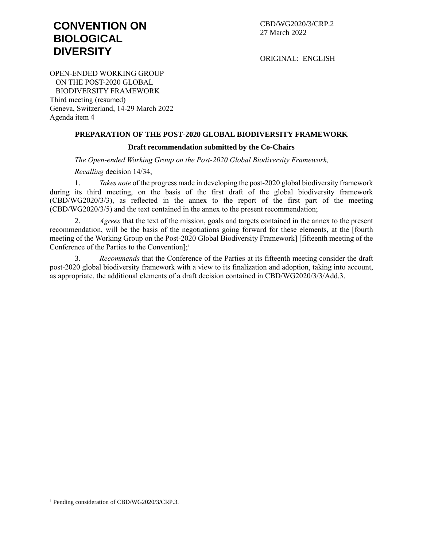# **CONVENTION ON BIOLOGICAL DIVERSITY**

CBD/WG2020/3/CRP.2 27 March 2022

ORIGINAL: ENGLISH

OPEN-ENDED WORKING GROUP ON THE POST-2020 GLOBAL BIODIVERSITY FRAMEWORK Third meeting (resumed) Geneva, Switzerland, 14-29 March 2022 Agenda item 4

# **PREPARATION OF THE POST-2020 GLOBAL BIODIVERSITY FRAMEWORK**

# **Draft recommendation submitted by the Co-Chairs**

*The Open-ended Working Group on the Post-2020 Global Biodiversity Framework,*

*Recalling* decision 14/34,

1. *Takes note* of the progress made in developing the post-2020 global biodiversity framework during its third meeting, on the basis of the first draft of the global biodiversity framework (CBD/WG2020/3/3), as reflected in the annex to the report of the first part of the meeting (CBD/WG2020/3/5) and the text contained in the annex to the present recommendation;

2. *Agrees* that the text of the mission, goals and targets contained in the annex to the present recommendation, will be the basis of the negotiations going forward for these elements, at the [fourth meeting of the Working Group on the Post-2020 Global Biodiversity Framework] [fifteenth meeting of the Conference of the Parties to the Convention]; 1

3. *Recommends* that the Conference of the Parties at its fifteenth meeting consider the draft post-2020 global biodiversity framework with a view to its finalization and adoption, taking into account, as appropriate, the additional elements of a draft decision contained in CBD/WG2020/3/3/Add.3.

 $\overline{a}$ 

<sup>1</sup> Pending consideration of CBD/WG2020/3/CRP.3.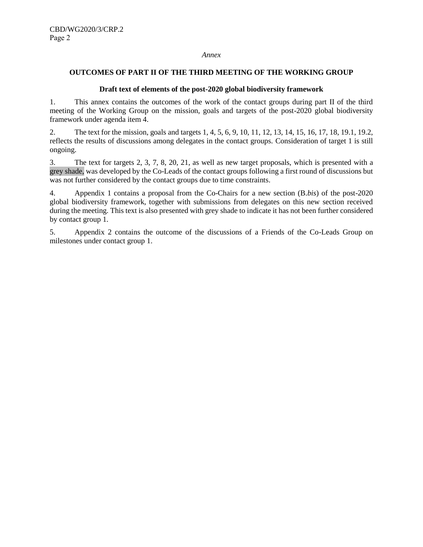#### *Annex*

# **OUTCOMES OF PART II OF THE THIRD MEETING OF THE WORKING GROUP**

# **Draft text of elements of the post-2020 global biodiversity framework**

1. This annex contains the outcomes of the work of the contact groups during part II of the third meeting of the Working Group on the mission, goals and targets of the post-2020 global biodiversity framework under agenda item 4.

2. The text for the mission, goals and targets 1, 4, 5, 6, 9, 10, 11, 12, 13, 14, 15, 16, 17, 18, 19.1, 19.2, reflects the results of discussions among delegates in the contact groups. Consideration of target 1 is still ongoing.

3. The text for targets 2, 3, 7, 8, 20, 21, as well as new target proposals, which is presented with a grey shade, was developed by the Co-Leads of the contact groups following a first round of discussions but was not further considered by the contact groups due to time constraints.

4. Appendix 1 contains a proposal from the Co-Chairs for a new section (B.*bis*) of the post-2020 global biodiversity framework, together with submissions from delegates on this new section received during the meeting. This text is also presented with grey shade to indicate it has not been further considered by contact group 1.

5. Appendix 2 contains the outcome of the discussions of a Friends of the Co-Leads Group on milestones under contact group 1.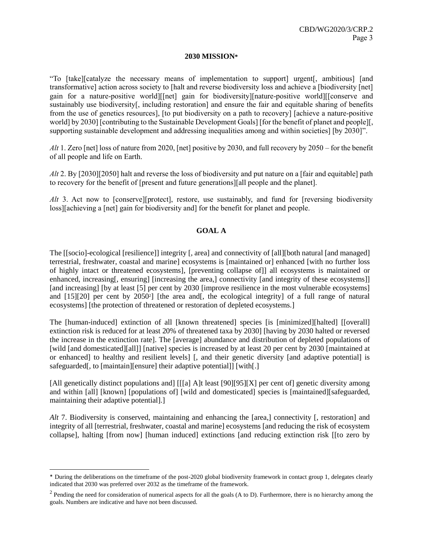#### **2030 MISSION\***

"To [take][catalyze the necessary means of implementation to support] urgent[, ambitious] [and transformative] action across society to [halt and reverse biodiversity loss and achieve a [biodiversity [net] gain for a nature-positive world][[net] gain for biodiversity][nature-positive world][[conserve and sustainably use biodiversity[, including restoration] and ensure the fair and equitable sharing of benefits from the use of genetics resources], [to put biodiversity on a path to recovery] [achieve a nature-positive world] by 2030] [contributing to the Sustainable Development Goals] [for the benefit of planet and people][, supporting sustainable development and addressing inequalities among and within societies] [by 2030]".

*Alt* 1. Zero [net] loss of nature from 2020, [net] positive by 2030, and full recovery by 2050 – for the benefit of all people and life on Earth.

*Alt* 2. By [2030][2050] halt and reverse the loss of biodiversity and put nature on a [fair and equitable] path to recovery for the benefit of [present and future generations][all people and the planet].

*Alt* 3. Act now to [conserve][protect], restore, use sustainably, and fund for [reversing biodiversity loss][achieving a [net] gain for biodiversity and] for the benefit for planet and people.

# **GOAL A**

The [[socio]-ecological [resilience]] integrity [, area] and connectivity of [all][both natural [and managed] terrestrial, freshwater, coastal and marine] ecosystems is [maintained or] enhanced [with no further loss of highly intact or threatened ecosystems], [preventing collapse of]] all ecosystems is maintained or enhanced, increasing[, ensuring] [increasing the area,] connectivity [and integrity of these ecosystems]] [and increasing] [by at least [5] per cent by 2030 [improve resilience in the most vulnerable ecosystems] and [15][20] per cent by 2050<sup>2</sup> ] [the area and[, the ecological integrity] of a full range of natural ecosystems] [the protection of threatened or restoration of depleted ecosystems.]

The [human-induced] extinction of all [known threatened] species [is [minimized][halted] [[overall] extinction risk is reduced for at least 20% of threatened taxa by 2030] [having by 2030 halted or reversed the increase in the extinction rate]. The [average] abundance and distribution of depleted populations of [wild [and domesticated][all]] [native] species is increased by at least 20 per cent by 2030 [maintained at or enhanced] to healthy and resilient levels] [, and their genetic diversity [and adaptive potential] is safeguarded, to [maintain][ensure] their adaptive potential]] [with[.]

[All genetically distinct populations and] [[[a] A]t least [90][95][X] per cent of] genetic diversity among and within [all] [known] [populations of] [wild and domesticated] species is [maintained][safeguarded, maintaining their adaptive potential].]

*Alt* 7. Biodiversity is conserved, maintaining and enhancing the [area,] connectivity [, restoration] and integrity of all [terrestrial, freshwater, coastal and marine] ecosystems [and reducing the risk of ecosystem collapse], halting [from now] [human induced] extinctions [and reducing extinction risk [[to zero by

l

<sup>\*</sup> During the deliberations on the timeframe of the post-2020 global biodiversity framework in contact group 1, delegates clearly indicated that 2030 was preferred over 2032 as the timeframe of the framework.

 $2$  Pending the need for consideration of numerical aspects for all the goals (A to D). Furthermore, there is no hierarchy among the goals. Numbers are indicative and have not been discussed.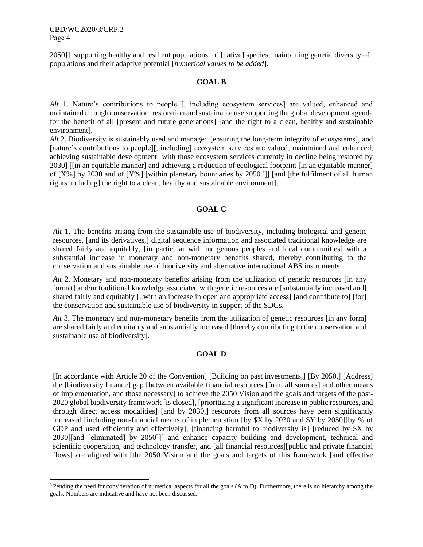l

2050]], supporting healthy and resilient populations of [native] species, maintaining genetic diversity of populations and their adaptive potential [*numerical values to be added*].

#### **GOAL B**

*Alt* 1. Nature's contributions to people [, including ecosystem services] are valued, enhanced and maintained through conservation, restoration and sustainable use supporting the global development agenda for the benefit of all [present and future generations] [and the right to a clean, healthy and sustainable environment].

*Alt* 2. Biodiversity is sustainably used and managed [ensuring the long-term integrity of ecosystems], and [nature's contributions to people][, including] ecosystem services are valued, maintained and enhanced, achieving sustainable development [with those ecosystem services currently in decline being restored by 2030] [[in an equitable manner] and achieving a reduction of ecological footprint [in an equitable manner] of [X%] by 2030 and of [Y%] [within planetary boundaries by 2050.<sup>3</sup> ]] [and [the fulfilment of all human rights including] the right to a clean, healthy and sustainable environment].

# **GOAL C**

*Alt* 1. The benefits arising from the sustainable use of biodiversity, including biological and genetic resources, [and its derivatives,] digital sequence information and associated traditional knowledge are shared fairly and equitably, [in particular with indigenous peoples and local communities] with a substantial increase in monetary and non-monetary benefits shared, thereby contributing to the conservation and sustainable use of biodiversity and alternative international ABS instruments.

*Alt* 2. Monetary and non-monetary benefits arising from the utilization of genetic resources [in any format] and/or traditional knowledge associated with genetic resources are [substantially increased and] shared fairly and equitably [, with an increase in open and appropriate access] [and contribute to] [for] the conservation and sustainable use of biodiversity in support of the SDGs.

*Alt* 3. The monetary and non-monetary benefits from the utilization of genetic resources [in any form] are shared fairly and equitably and substantially increased [thereby contributing to the conservation and sustainable use of biodiversity].

# **GOAL D**

[In accordance with Article 20 of the Convention] [Building on past investments,] [By 2050,] [Address] the [biodiversity finance] gap [between available financial resources [from all sources] and other means of implementation, and those necessary] to achieve the 2050 Vision and the goals and targets of the post-2020 global biodiversity framework [is closed], [prioritizing a significant increase in public resources, and through direct access modalities] [and by 2030,] resources from all sources have been significantly increased [including non-financial means of implementation [by \$X by 2030 and \$Y by 2050][by % of GDP and used efficiently and effectively], [financing harmful to biodiversity is] [reduced by \$X by 2030][and [eliminated] by 2050]]] and enhance capacity building and development, technical and scientific cooperation, and technology transfer, and [all financial resources][public and private financial flows] are aligned with [the 2050 Vision and the goals and targets of this framework [and effective

<sup>&</sup>lt;sup>3</sup> Pending the need for consideration of numerical aspects for all the goals (A to D). Furthermore, there is no hierarchy among the goals. Numbers are indicative and have not been discussed.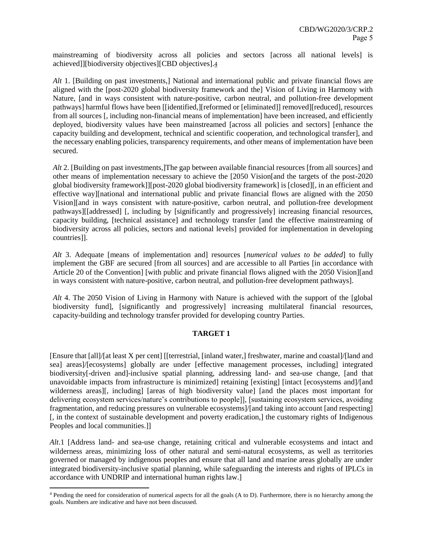mainstreaming of biodiversity across all policies and sectors [across all national levels] is achieved]][biodiversity objectives][CBD objectives].4

*Alt* 1. [Building on past investments,] National and international public and private financial flows are aligned with the [post-2020 global biodiversity framework and the] Vision of Living in Harmony with Nature, [and in ways consistent with nature-positive, carbon neutral, and pollution-free development pathways] harmful flows have been [[identified,][reformed or [eliminated]] removed][reduced], resources from all sources [, including non-financial means of implementation] have been increased, and efficiently deployed, biodiversity values have been mainstreamed [across all policies and sectors] [enhance the capacity building and development, technical and scientific cooperation, and technological transfer], and the necessary enabling policies, transparency requirements, and other means of implementation have been secured.

*Alt* 2. [Building on past investments,]The gap between available financial resources [from all sources] and other means of implementation necessary to achieve the [2050 Vision[and the targets of the post-2020 global biodiversity framework]][post-2020 global biodiversity framework] is [closed][, in an efficient and effective way][national and international public and private financial flows are aligned with the 2050 Vision][and in ways consistent with nature-positive, carbon neutral, and pollution-free development pathways][[addressed] [, including by [significantly and progressively] increasing financial resources, capacity building, [technical assistance] and technology transfer [and the effective mainstreaming of biodiversity across all policies, sectors and national levels] provided for implementation in developing countries]].

*Alt* 3. Adequate [means of implementation and] resources [*numerical values to be added*] to fully implement the GBF are secured [from all sources] and are accessible to all Parties [in accordance with Article 20 of the Convention] [with public and private financial flows aligned with the 2050 Vision][and in ways consistent with nature-positive, carbon neutral, and pollution-free development pathways].

*Alt* 4. The 2050 Vision of Living in Harmony with Nature is achieved with the support of the [global biodiversity fund], [significantly and progressively] increasing multilateral financial resources, capacity-building and technology transfer provided for developing country Parties.

# **TARGET 1**

[Ensure that [all]/[at least X per cent] [[terrestrial, [inland water,] freshwater, marine and coastal]/[land and sea] areas]/[ecosystems] globally are under [effective management processes, including] integrated biodiversity[-driven and]-inclusive spatial planning, addressing land- and sea-use change, [and that unavoidable impacts from infrastructure is minimized] retaining [existing] [intact [ecosystems and]/[and wilderness areas][, including] [areas of high biodiversity value] [and the places most important for delivering ecosystem services/nature's contributions to people]], [sustaining ecosystem services, avoiding fragmentation, and reducing pressures on vulnerable ecosystems]/[and taking into account [and respecting] [, in the context of sustainable development and poverty eradication,] the customary rights of Indigenous Peoples and local communities.]]

*Alt*.1 [Address land- and sea-use change, retaining critical and vulnerable ecosystems and intact and wilderness areas, minimizing loss of other natural and semi-natural ecosystems, as well as territories governed or managed by indigenous peoples and ensure that all land and marine areas globally are under integrated biodiversity-inclusive spatial planning, while safeguarding the interests and rights of IPLCs in accordance with UNDRIP and international human rights law.]

l

<sup>4</sup> Pending the need for consideration of numerical aspects for all the goals (A to D). Furthermore, there is no hierarchy among the goals. Numbers are indicative and have not been discussed.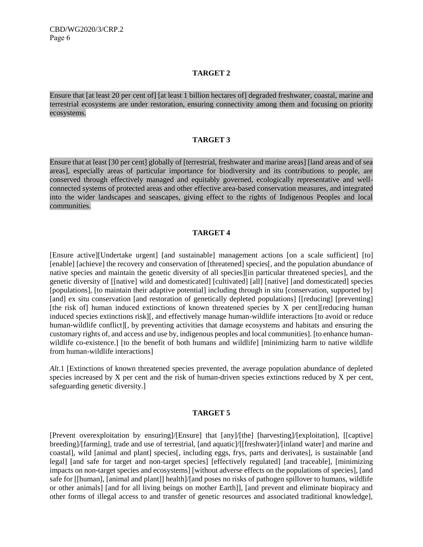#### **TARGET 2**

Ensure that [at least 20 per cent of] [at least 1 billion hectares of] degraded freshwater, coastal, marine and terrestrial ecosystems are under restoration, ensuring connectivity among them and focusing on priority ecosystems.

#### **TARGET 3**

Ensure that at least [30 per cent] globally of [terrestrial, freshwater and marine areas] [land areas and of sea areas], especially areas of particular importance for biodiversity and its contributions to people, are conserved through effectively managed and equitably governed, ecologically representative and wellconnected systems of protected areas and other effective area-based conservation measures, and integrated into the wider landscapes and seascapes, giving effect to the rights of Indigenous Peoples and local communities.

# **TARGET 4**

[Ensure active][Undertake urgent] [and sustainable] management actions [on a scale sufficient] [to] [enable] [achieve] the recovery and conservation of [threatened] species[, and the population abundance of native species and maintain the genetic diversity of all species][in particular threatened species], and the genetic diversity of [[native] wild and domesticated] [cultivated] [all] [native] [and domesticated] species [populations], [to maintain their adaptive potential] including through in situ [conservation, supported by] [and] ex situ conservation [and restoration of genetically depleted populations] [[reducing] [preventing] [the risk of] human induced extinctions of known threatened species by X per cent][reducing human induced species extinctions risk][, and effectively manage human-wildlife interactions [to avoid or reduce human-wildlife conflict][, by preventing activities that damage ecosystems and habitats and ensuring the customary rights of, and access and use by, indigenous peoples and local communities]. [to enhance humanwildlife co-existence.] [to the benefit of both humans and wildlife] [minimizing harm to native wildlife from human-wildlife interactions]

*Alt*.1 [Extinctions of known threatened species prevented, the average population abundance of depleted species increased by X per cent and the risk of human-driven species extinctions reduced by X per cent, safeguarding genetic diversity.]

#### **TARGET 5**

[Prevent overexploitation by ensuring]/[Ensure] that [any]/[the] [harvesting]/[exploitation], [[captive] breeding]/[farming], trade and use of terrestrial, [and aquatic]/[[freshwater]/[inland water] and marine and coastal], wild [animal and plant] species[, including eggs, frys, parts and derivates], is sustainable [and legal] [and safe for target and non-target species] [effectively regulated] [and traceable], [minimizing impacts on non-target species and ecosystems] [without adverse effects on the populations of species], [and safe for [[human], [animal and plant]] health]/[and poses no risks of pathogen spillover to humans, wildlife or other animals] [and for all living beings on mother Earth]], [and prevent and eliminate biopiracy and other forms of illegal access to and transfer of genetic resources and associated traditional knowledge],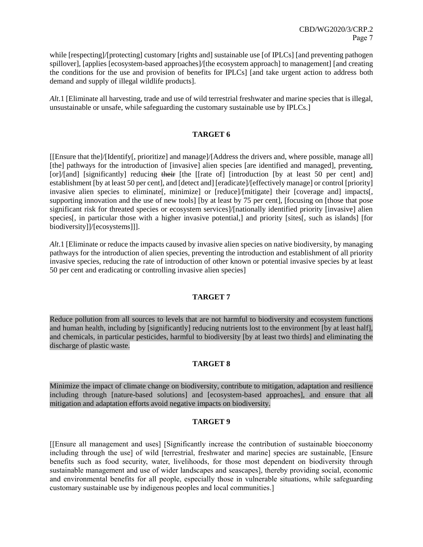while [respecting]/[protecting] customary [rights and] sustainable use [of IPLCs] [and preventing pathogen spillover], [applies [ecosystem-based approaches]/[the ecosystem approach] to management] [and creating the conditions for the use and provision of benefits for IPLCs] [and take urgent action to address both demand and supply of illegal wildlife products].

*Alt*.1 [Eliminate all harvesting, trade and use of wild terrestrial freshwater and marine species that is illegal, unsustainable or unsafe, while safeguarding the customary sustainable use by IPLCs.]

# **TARGET 6**

[[Ensure that the]/[Identify[, prioritize] and manage]/[Address the drivers and, where possible, manage all] [the] pathways for the introduction of [invasive] alien species [are identified and managed], preventing, [or]/[and] [significantly] reducing their [the [[rate of] [introduction [by at least 50 per cent] and] establishment [by at least 50 per cent], and [detect and] [eradicate]/[effectively manage] or control [priority] invasive alien species to eliminate[, minimize] or [reduce]/[mitigate] their [coverage and] impacts[, supporting innovation and the use of new tools] [by at least by 75 per cent], [focusing on [those that pose significant risk for threated species or ecosystem services]/[nationally identified priority [invasive] alien species<sup>[, in particular those with a higher invasive potential,] and priority [sites<sup>[, such as islands]</sup> [for</sup> biodiversity]]/[ecosystems]]].

*Alt*.1 [Eliminate or reduce the impacts caused by invasive alien species on native biodiversity, by managing pathways for the introduction of alien species, preventing the introduction and establishment of all priority invasive species, reducing the rate of introduction of other known or potential invasive species by at least 50 per cent and eradicating or controlling invasive alien species]

# **TARGET 7**

Reduce pollution from all sources to levels that are not harmful to biodiversity and ecosystem functions and human health, including by [significantly] reducing nutrients lost to the environment [by at least half], and chemicals, in particular pesticides, harmful to biodiversity [by at least two thirds] and eliminating the discharge of plastic waste.

#### **TARGET 8**

Minimize the impact of climate change on biodiversity, contribute to mitigation, adaptation and resilience including through [nature-based solutions] and [ecosystem-based approaches], and ensure that all mitigation and adaptation efforts avoid negative impacts on biodiversity.

# **TARGET 9**

[[Ensure all management and uses] [Significantly increase the contribution of sustainable bioeconomy including through the use] of wild [terrestrial, freshwater and marine] species are sustainable, [Ensure benefits such as food security, water, livelihoods, for those most dependent on biodiversity through sustainable management and use of wider landscapes and seascapes], thereby providing social, economic and environmental benefits for all people, especially those in vulnerable situations, while safeguarding customary sustainable use by indigenous peoples and local communities.]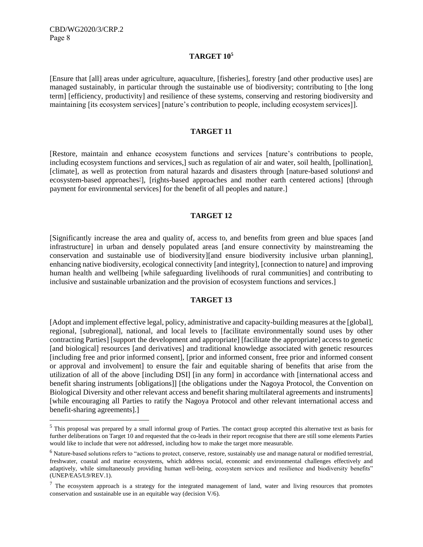l

#### **TARGET 10<sup>5</sup>**

[Ensure that [all] areas under agriculture, aquaculture, [fisheries], forestry [and other productive uses] are managed sustainably, in particular through the sustainable use of biodiversity; contributing to [the long term] [efficiency, productivity] and resilience of these systems, conserving and restoring biodiversity and maintaining [its ecosystem services] [nature's contribution to people, including ecosystem services]].

#### **TARGET 11**

[Restore, maintain and enhance ecosystem functions and services [nature's contributions to people, including ecosystem functions and services,] such as regulation of air and water, soil health, [pollination], [climate], as well as protection from natural hazards and disasters through [nature-based solutions $6$  and ecosystem-based approaches<sup>2</sup>], [rights-based approaches and mother earth centered actions] [through payment for environmental services] for the benefit of all peoples and nature.]

# **TARGET 12**

[Significantly increase the area and quality of, access to, and benefits from green and blue spaces [and infrastructure] in urban and densely populated areas [and ensure connectivity by mainstreaming the conservation and sustainable use of biodiversity][and ensure biodiversity inclusive urban planning], enhancing native biodiversity, ecological connectivity [and integrity], [connection to nature] and improving human health and wellbeing [while safeguarding livelihoods of rural communities] and contributing to inclusive and sustainable urbanization and the provision of ecosystem functions and services.]

# **TARGET 13**

[Adopt and implement effective legal, policy, administrative and capacity-building measures at the [global], regional, [subregional], national, and local levels to [facilitate environmentally sound uses by other contracting Parties] [support the development and appropriate] [facilitate the appropriate] access to genetic [and biological] resources [and derivatives] and traditional knowledge associated with genetic resources [including free and prior informed consent], [prior and informed consent, free prior and informed consent or approval and involvement] to ensure the fair and equitable sharing of benefits that arise from the utilization of all of the above [including DSI] [in any form] in accordance with [international access and benefit sharing instruments [obligations]] [the obligations under the Nagoya Protocol, the Convention on Biological Diversity and other relevant access and benefit sharing multilateral agreements and instruments] [while encouraging all Parties to ratify the Nagoya Protocol and other relevant international access and benefit-sharing agreements].]

<sup>&</sup>lt;sup>5</sup> This proposal was prepared by a small informal group of Parties. The contact group accepted this alternative text as basis for further deliberations on Target 10 and requested that the co-leads in their report recognise that there are still some elements Parties would like to include that were not addressed, including how to make the target more measurable.

<sup>&</sup>lt;sup>6</sup> Nature-based solutions refers to "actions to protect, conserve, restore, sustainably use and manage natural or modified terrestrial, freshwater, coastal and marine ecosystems, which address social, economic and environmental challenges effectively and adaptively, while simultaneously providing human well-being, ecosystem services and resilience and biodiversity benefits" (UNEP/EA5/L9/REV.1).

 $7$  The ecosystem approach is a strategy for the integrated management of land, water and living resources that promotes conservation and sustainable use in an equitable way (decision V/6).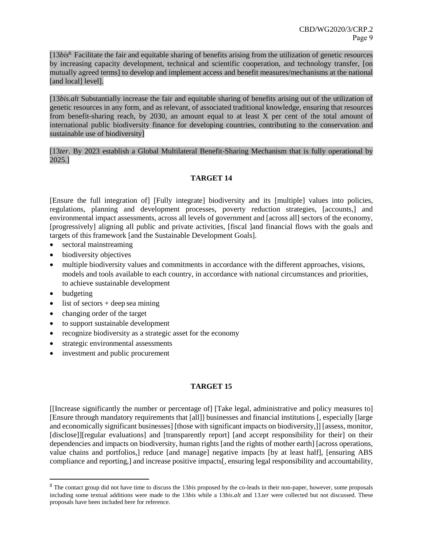[13*bis*8. Facilitate the fair and equitable sharing of benefits arising from the utilization of genetic resources by increasing capacity development, technical and scientific cooperation, and technology transfer, [on mutually agreed terms] to develop and implement access and benefit measures/mechanisms at the national [and local] level].

[13*bis.alt* Substantially increase the fair and equitable sharing of benefits arising out of the utilization of genetic resources in any form, and as relevant, of associated traditional knowledge, ensuring that resources from benefit-sharing reach, by 2030, an amount equal to at least X per cent of the total amount of international public biodiversity finance for developing countries, contributing to the conservation and sustainable use of biodiversity]

# [13*ter*. By 2023 establish a Global Multilateral Benefit-Sharing Mechanism that is fully operational by 2025.]

# **TARGET 14**

[Ensure the full integration of] [Fully integrate] biodiversity and its [multiple] values into policies, regulations, planning and development processes, poverty reduction strategies, [accounts,] and environmental impact assessments, across all levels of government and [across all] sectors of the economy, [progressively] aligning all public and private activities, [fiscal ]and financial flows with the goals and targets of this framework [and the Sustainable Development Goals].

- sectoral mainstreaming
- biodiversity objectives
- multiple biodiversity values and commitments in accordance with the different approaches, visions, models and tools available to each country, in accordance with national circumstances and priorities, to achieve sustainable development
- budgeting

l

- $\bullet$  list of sectors + deep sea mining
- changing order of the target
- to support sustainable development
- recognize biodiversity as a strategic asset for the economy
- strategic environmental assessments
- investment and public procurement

# **TARGET 15**

[[Increase significantly the number or percentage of] [Take legal, administrative and policy measures to] [Ensure through mandatory requirements that [all]] businesses and financial institutions [, especially [large and economically significant businesses] [those with significant impacts on biodiversity,]] [assess, monitor, [disclose]][regular evaluations] and [transparently report] [and accept responsibility for their] on their dependencies and impacts on biodiversity, human rights [and the rights of mother earth] [across operations, value chains and portfolios,] reduce [and manage] negative impacts [by at least half], [ensuring ABS compliance and reporting,] and increase positive impacts[, ensuring legal responsibility and accountability,

<sup>8</sup> The contact group did not have time to discuss the 13*bis* proposed by the co-leads in their non-paper, however, some proposals including some textual additions were made to the 13*bis* while a 13*bis.alt* and 13.*ter* were collected but not discussed. These proposals have been included here for reference.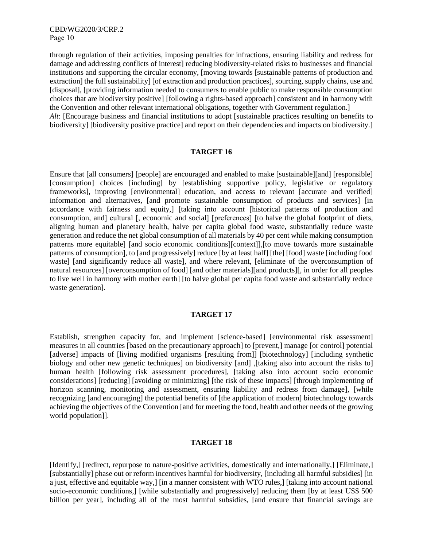through regulation of their activities, imposing penalties for infractions, ensuring liability and redress for damage and addressing conflicts of interest] reducing biodiversity-related risks to businesses and financial institutions and supporting the circular economy, [moving towards [sustainable patterns of production and extraction] the full sustainability] [of extraction and production practices], sourcing, supply chains, use and [disposal], [providing information needed to consumers to enable public to make responsible consumption choices that are biodiversity positive] [following a rights-based approach] consistent and in harmony with the Convention and other relevant international obligations, together with Government regulation.] *Alt*: [Encourage business and financial institutions to adopt [sustainable practices resulting on benefits to biodiversity] [biodiversity positive practice] and report on their dependencies and impacts on biodiversity.]

# **TARGET 16**

Ensure that [all consumers] [people] are encouraged and enabled to make [sustainable][and] [responsible] [consumption] choices [including] by [establishing supportive policy, legislative or regulatory frameworks], improving [environmental] education, and access to relevant [accurate and verified] information and alternatives, [and promote sustainable consumption of products and services] [in accordance with fairness and equity,] [taking into account [historical patterns of production and consumption, and] cultural [, economic and social] [preferences] [to halve the global footprint of diets, aligning human and planetary health, halve per capita global food waste, substantially reduce waste generation and reduce the net global consumption of all materials by 40 per cent while making consumption patterns more equitable] [and socio economic conditions][context]],[to move towards more sustainable patterns of consumption], to [and progressively] reduce [by at least half] [the] [food] waste [including food waste] [and significantly reduce all waste], and where relevant, [eliminate of the overconsumption of natural resources] [overconsumption of food] [and other materials][and products][, in order for all peoples to live well in harmony with mother earth] [to halve global per capita food waste and substantially reduce waste generation].

#### **TARGET 17**

Establish, strengthen capacity for, and implement [science-based] [environmental risk assessment] measures in all countries [based on the precautionary approach] to [prevent,] manage [or control] potential [adverse] impacts of [living modified organisms [resulting from]] [biotechnology] [including synthetic biology and other new genetic techniques] on biodiversity [and] ,[taking also into account the risks to] human health [following risk assessment procedures], [taking also into account socio economic considerations] [reducing] [avoiding or minimizing] [the risk of these impacts] [through implementing of horizon scanning, monitoring and assessment, ensuring liability and redress from damage], [while recognizing [and encouraging] the potential benefits of [the application of modern] biotechnology towards achieving the objectives of the Convention [and for meeting the food, health and other needs of the growing world population]].

#### **TARGET 18**

[Identify,] [redirect, repurpose to nature-positive activities, domestically and internationally,] [Eliminate,] [substantially] phase out or reform incentives harmful for biodiversity, [including all harmful subsidies] [in a just, effective and equitable way,] [in a manner consistent with WTO rules,] [taking into account national socio-economic conditions,] [while substantially and progressively] reducing them [by at least US\$ 500 billion per year], including all of the most harmful subsidies, [and ensure that financial savings are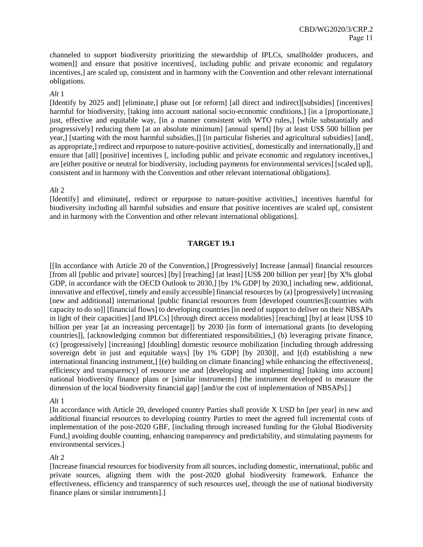channeled to support biodiversity prioritizing the stewardship of IPLCs, smallholder producers, and women]] and ensure that positive incentives[, including public and private economic and regulatory incentives,] are scaled up, consistent and in harmony with the Convention and other relevant international obligations.

*Alt* 1

[Identify by 2025 and] [eliminate,] phase out [or reform] [all direct and indirect][subsidies] [incentives] harmful for biodiversity, [taking into account national socio-economic conditions,] [in a [proportionate,] just, effective and equitable way, [in a manner consistent with WTO rules,] [while substantially and progressively] reducing them [at an absolute minimum] [annual spend] [by at least US\$ 500 billion per year,] [starting with the most harmful subsidies,]] [in particular fisheries and agricultural subsidies] [and[, as appropriate,] redirect and repurpose to nature-positive activities[, domestically and internationally,]] and ensure that [all] [positive] incentives [, including public and private economic and regulatory incentives,] are [either positive or neutral for biodiversity, including payments for environmental services] [scaled up][, consistent and in harmony with the Convention and other relevant international obligations].

# *Alt* 2

[Identify] and eliminate[, redirect or repurpose to nature-positive activities,] incentives harmful for biodiversity including all harmful subsidies and ensure that positive incentives are scaled up[, consistent and in harmony with the Convention and other relevant international obligations].

# **TARGET 19.1**

[[In accordance with Article 20 of the Convention,] [Progressively] Increase [annual] financial resources [from all [public and private] sources] [by] [reaching] [at least] [US\$ 200 billion per year] [by X% global GDP, in accordance with the OECD Outlook to 2030,] [by 1% GDP] by 2030,] including new, additional, innovative and effective[, timely and easily accessible] financial resources by (a) [progressively] increasing [new and additional] international [public financial resources from [developed countries][countries with capacity to do so]] [financial flows] to developing countries [in need of support to deliver on their NBSAPs in light of their capacities] [and IPLCs] [through direct access modalities] [reaching] [by] at least [US\$ 10 billion per year [at an increasing percentage]] by 2030 [in form of international grants [to developing countries]], [acknowledging common but differentiated responsibilities,] (b) leveraging private finance, (c) [progressively] [increasing] [doubling] domestic resource mobilization [including through addressing sovereign debt in just and equitable ways] [by 1% GDP] [by 2030][, and [(d) establishing a new international financing instrument,] [(e) building on climate financing] while enhancing the effectiveness[, efficiency and transparency] of resource use and [developing and implementing] [taking into account] national biodiversity finance plans or [similar instruments] [the instrument developed to measure the dimension of the local biodiversity financial gap] [and/or the cost of implementation of NBSAPs].]

# *Alt* 1

[In accordance with Article 20, developed country Parties shall provide X USD bn [per year] in new and additional financial resources to developing country Parties to meet the agreed full incremental costs of implementation of the post-2020 GBF, [including through increased funding for the Global Biodiversity Fund,] avoiding double counting, enhancing transparency and predictability, and stimulating payments for environmental services.]

# *Alt* 2

[Increase financial resources for biodiversity from all sources, including domestic, international, public and private sources, aligning them with the post-2020 global biodiversity framework. Enhance the effectiveness, efficiency and transparency of such resources use[, through the use of national biodiversity finance plans or similar instruments].]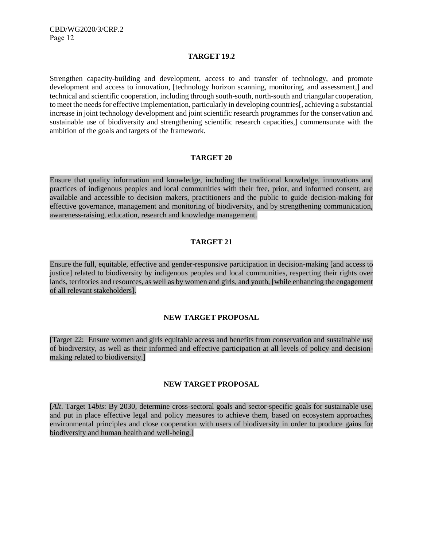#### **TARGET 19.2**

Strengthen capacity-building and development, access to and transfer of technology, and promote development and access to innovation, [technology horizon scanning, monitoring, and assessment,] and technical and scientific cooperation, including through south-south, north-south and triangular cooperation, to meet the needs for effective implementation, particularly in developing countries[, achieving a substantial increase in joint technology development and joint scientific research programmes for the conservation and sustainable use of biodiversity and strengthening scientific research capacities,] commensurate with the ambition of the goals and targets of the framework.

#### **TARGET 20**

Ensure that quality information and knowledge, including the traditional knowledge, innovations and practices of indigenous peoples and local communities with their free, prior, and informed consent, are available and accessible to decision makers, practitioners and the public to guide decision-making for effective governance, management and monitoring of biodiversity, and by strengthening communication, awareness-raising, education, research and knowledge management.

# **TARGET 21**

Ensure the full, equitable, effective and gender-responsive participation in decision-making [and access to justice] related to biodiversity by indigenous peoples and local communities, respecting their rights over lands, territories and resources, as well as by women and girls, and youth, [while enhancing the engagement of all relevant stakeholders].

#### **NEW TARGET PROPOSAL**

[Target 22: Ensure women and girls equitable access and benefits from conservation and sustainable use of biodiversity, as well as their informed and effective participation at all levels of policy and decisionmaking related to biodiversity.]

#### **NEW TARGET PROPOSAL**

[*Alt*. Target 14*bis*: By 2030, determine cross-sectoral goals and sector-specific goals for sustainable use, and put in place effective legal and policy measures to achieve them, based on ecosystem approaches, environmental principles and close cooperation with users of biodiversity in order to produce gains for biodiversity and human health and well-being.]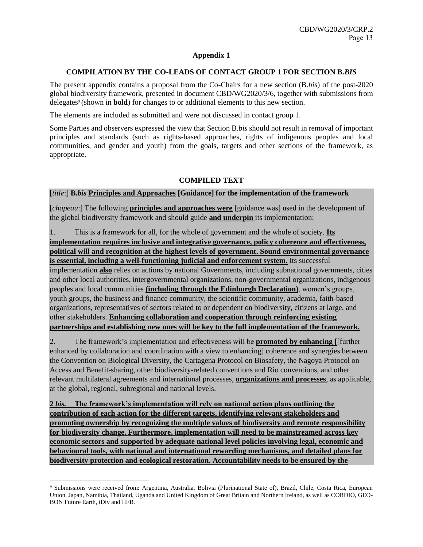# **Appendix 1**

# **COMPILATION BY THE CO-LEADS OF CONTACT GROUP 1 FOR SECTION B***.BIS*

The present appendix contains a proposal from the Co-Chairs for a new section (B.*bis*) of the post-2020 global biodiversity framework, presented in document CBD/WG2020/3/6, together with submissions from delegates<sup>9</sup> (shown in **bold**) for changes to or additional elements to this new section.

The elements are included as submitted and were not discussed in contact group 1.

Some Parties and observers expressed the view that Section B.*bis* should not result in removal of important principles and standards (such as rights-based approaches, rights of indigenous peoples and local communities, and gender and youth) from the goals, targets and other sections of the framework, as appropriate.

# **COMPILED TEXT**

[*title*:] **B.***bis* **Principles and Approaches [Guidance] for the implementation of the framework**

[*chapeau*:] The following **principles and approaches were** [guidance was] used in the development of the global biodiversity framework and should guide **and underpin** its implementation:

1. This is a framework for all, for the whole of government and the whole of society. **Its implementation requires inclusive and integrative governance, policy coherence and effectiveness, political will and recognition at the highest levels of government. Sound environmental governance is essential, including a well-functioning judicial and enforcement system.** Its successful implementation **also** relies on actions by national Governments, including subnational governments, cities and other local authorities, intergovernmental organizations, non-governmental organizations, indigenous peoples and local communities **(including through the Edinburgh Declaration)**, women's groups, youth groups, the business and finance community, the scientific community, academia, faith-based organizations, representatives of sectors related to or dependent on biodiversity, citizens at large, and other stakeholders. **Enhancing collaboration and cooperation through reinforcing existing partnerships and establishing new ones will be key to the full implementation of the framework.**

2. The framework's implementation and effectiveness will be **promoted by enhancing [**[further enhanced by collaboration and coordination with a view to enhancing] coherence and synergies between the Convention on Biological Diversity, the Cartagena Protocol on Biosafety, the Nagoya Protocol on Access and Benefit-sharing, other biodiversity-related conventions and Rio conventions, and other relevant multilateral agreements and international processes, **organizations and processes**, as applicable, at the global, regional, subregional and national levels.

**2** *bis.* **The framework's implementation will rely on national action plans outlining the contribution of each action for the different targets, identifying relevant stakeholders and promoting ownership by recognizing the multiple values of biodiversity and remote responsibility for biodiversity change. Furthermore, implementation will need to be mainstreamed across key economic sectors and supported by adequate national level policies involving legal, economic and behavioural tools, with national and international rewarding mechanisms, and detailed plans for biodiversity protection and ecological restoration. Accountability needs to be ensured by the** 

l

<sup>9</sup> Submissions were received from: Argentina, Australia, Bolivia (Plurinational State of), Brazil, Chile, Costa Rica, European Union, Japan, Namibia, Thailand, Uganda and United Kingdom of Great Britain and Northern Ireland, as well as CORDIO, GEO-BON Future Earth, iDiv and IIFB.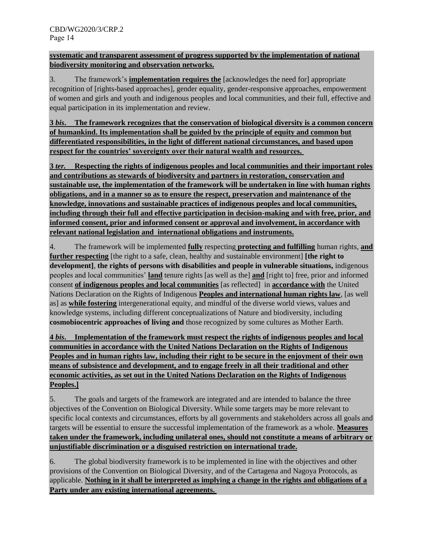# **systematic and transparent assessment of progress supported by the implementation of national biodiversity monitoring and observation networks.**

3. The framework's **implementation requires the** [acknowledges the need for] appropriate recognition of [rights-based approaches], gender equality, gender-responsive approaches, empowerment of women and girls and youth and indigenous peoples and local communities, and their full, effective and equal participation in its implementation and review.

**3** *bis***. The framework recognizes that the conservation of biological diversity is a common concern of humankind. Its implementation shall be guided by the principle of equity and common but differentiated responsibilities, in the light of different national circumstances, and based upon respect for the countries' sovereignty over their natural wealth and resources.**

**3** *ter.* **Respecting the rights of indigenous peoples and local communities and their important roles and contributions as stewards of biodiversity and partners in restoration, conservation and sustainable use, the implementation of the framework will be undertaken in line with human rights obligations, and in a manner so as to ensure the respect, preservation and maintenance of the knowledge, innovations and sustainable practices of indigenous peoples and local communities, including through their full and effective participation in decision-making and with free, prior, and informed consent, prior and informed consent or approval and involvement, in accordance with relevant national legislation and international obligations and instruments.**

4. The framework will be implemented **fully** respecting **protecting and fulfilling** human rights, **and further respecting** [the right to a safe, clean, healthy and sustainable environment] **[the right to development]**, **the rights of persons with disabilities and people in vulnerable situations,** indigenous peoples and local communities' **land** tenure rights [as well as the] **and** [right to] free, prior and informed consent **of indigenous peoples and local communities** [as reflected] in **accordance with** the United Nations Declaration on the Rights of Indigenous **Peoples and international human rights law**, [as well as] as **while fostering** intergenerational equity, and mindful of the diverse world views, values and knowledge systems, including different conceptualizations of Nature and biodiversity, including **cosmobiocentric approaches of living and** those recognized by some cultures as Mother Earth.

**4** *bis***. Implementation of the framework must respect the rights of indigenous peoples and local communities in accordance with the United Nations Declaration on the Rights of Indigenous Peoples and in human rights law, including their right to be secure in the enjoyment of their own means of subsistence and development, and to engage freely in all their traditional and other economic activities, as set out in the United Nations Declaration on the Rights of Indigenous Peoples.]**

5. The goals and targets of the framework are integrated and are intended to balance the three objectives of the Convention on Biological Diversity. While some targets may be more relevant to specific local contexts and circumstances, efforts by all governments and stakeholders across all goals and targets will be essential to ensure the successful implementation of the framework as a whole. **Measures taken under the framework, including unilateral ones, should not constitute a means of arbitrary or unjustifiable discrimination or a disguised restriction on international trade.**

6. The global biodiversity framework is to be implemented in line with the objectives and other provisions of the Convention on Biological Diversity, and of the Cartagena and Nagoya Protocols, as applicable. **Nothing in it shall be interpreted as implying a change in the rights and obligations of a Party under any existing international agreements.**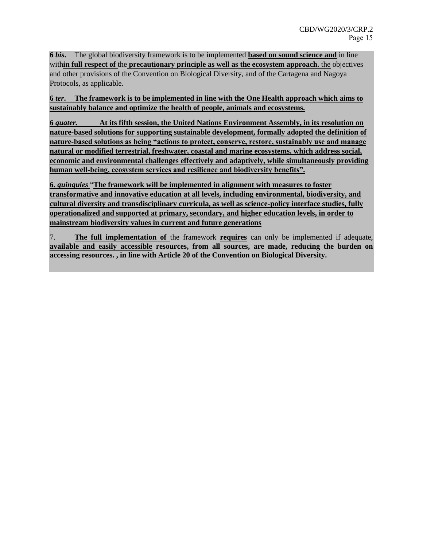**6** *bis***.** The global biodiversity framework is to be implemented **based on sound science and** in line with**in full respect of** the **precautionary principle as well as the ecosystem approach.** the objectives and other provisions of the Convention on Biological Diversity, and of the Cartagena and Nagoya Protocols, as applicable.

**6** *ter***. The framework is to be implemented in line with the One Health approach which aims to sustainably balance and optimize the health of people, animals and ecosystems.** 

**6** *quater.* **At its fifth session, the United Nations Environment Assembly, in its resolution on nature-based solutions for supporting sustainable development, formally adopted the definition of nature-based solutions as being "actions to protect, conserve, restore, sustainably use and manage natural or modified terrestrial, freshwater, coastal and marine ecosystems, which address social, economic and environmental challenges effectively and adaptively, while simultaneously providing human well-being, ecosystem services and resilience and biodiversity benefits".**

**6.** *quinquies* "**The framework will be implemented in alignment with measures to foster transformative and innovative education at all levels, including environmental, biodiversity, and cultural diversity and transdisciplinary curricula, as well as science-policy interface studies, fully operationalized and supported at primary, secondary, and higher education levels, in order to mainstream biodiversity values in current and future generations**

7. **The full implementation of** the framework **requires** can only be implemented if adequate, **available and easily accessible resources, from all sources, are made, reducing the burden on accessing resources. , in line with Article 20 of the Convention on Biological Diversity.**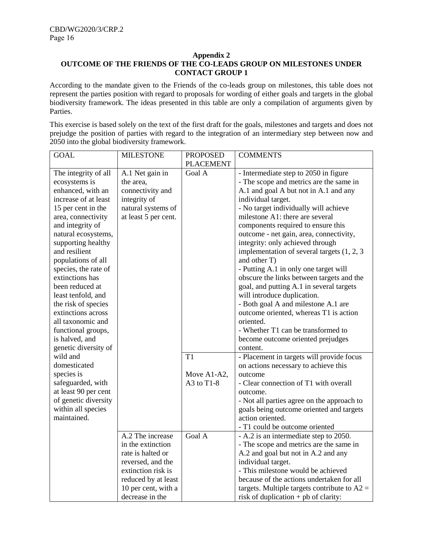#### **Appendix 2**

# **OUTCOME OF THE FRIENDS OF THE CO-LEADS GROUP ON MILESTONES UNDER CONTACT GROUP 1**

According to the mandate given to the Friends of the co-leads group on milestones, this table does not represent the parties position with regard to proposals for wording of either goals and targets in the global biodiversity framework. The ideas presented in this table are only a compilation of arguments given by Parties.

This exercise is based solely on the text of the first draft for the goals, milestones and targets and does not prejudge the position of parties with regard to the integration of an intermediary step between now and 2050 into the global biodiversity framework.

| <b>GOAL</b>          | <b>MILESTONE</b>     | <b>PROPOSED</b>  | <b>COMMENTS</b>                                |
|----------------------|----------------------|------------------|------------------------------------------------|
|                      |                      | <b>PLACEMENT</b> |                                                |
| The integrity of all | A.1 Net gain in      | Goal A           | - Intermediate step to 2050 in figure          |
| ecosystems is        | the area,            |                  | - The scope and metrics are the same in        |
| enhanced, with an    | connectivity and     |                  | A.1 and goal A but not in A.1 and any          |
| increase of at least | integrity of         |                  | individual target.                             |
| 15 per cent in the   | natural systems of   |                  | - No target individually will achieve          |
| area, connectivity   | at least 5 per cent. |                  | milestone A1: there are several                |
| and integrity of     |                      |                  | components required to ensure this             |
| natural ecosystems,  |                      |                  | outcome - net gain, area, connectivity,        |
| supporting healthy   |                      |                  | integrity: only achieved through               |
| and resilient        |                      |                  | implementation of several targets $(1, 2, 3)$  |
| populations of all   |                      |                  | and other T)                                   |
| species, the rate of |                      |                  | - Putting A.1 in only one target will          |
| extinctions has      |                      |                  | obscure the links between targets and the      |
| been reduced at      |                      |                  | goal, and putting A.1 in several targets       |
| least tenfold, and   |                      |                  | will introduce duplication.                    |
| the risk of species  |                      |                  | - Both goal A and milestone A.1 are            |
| extinctions across   |                      |                  | outcome oriented, whereas T1 is action         |
| all taxonomic and    |                      |                  | oriented.                                      |
| functional groups,   |                      |                  | - Whether T1 can be transformed to             |
| is halved, and       |                      |                  | become outcome oriented prejudges              |
| genetic diversity of |                      |                  | content.                                       |
| wild and             |                      | T1               | - Placement in targets will provide focus      |
| domesticated         |                      |                  | on actions necessary to achieve this           |
| species is           |                      | Move A1-A2,      | outcome                                        |
| safeguarded, with    |                      | A3 to $T1-8$     | - Clear connection of T1 with overall          |
| at least 90 per cent |                      |                  | outcome.                                       |
| of genetic diversity |                      |                  | - Not all parties agree on the approach to     |
| within all species   |                      |                  | goals being outcome oriented and targets       |
| maintained.          |                      |                  | action oriented.                               |
|                      |                      |                  | - T1 could be outcome oriented                 |
|                      | A.2 The increase     | Goal A           | - A.2 is an intermediate step to 2050.         |
|                      | in the extinction    |                  | - The scope and metrics are the same in        |
|                      | rate is halted or    |                  | A.2 and goal but not in A.2 and any            |
|                      | reversed, and the    |                  | individual target.                             |
|                      | extinction risk is   |                  | - This milestone would be achieved             |
|                      | reduced by at least  |                  | because of the actions undertaken for all      |
|                      | 10 per cent, with a  |                  | targets. Multiple targets contribute to $A2 =$ |
|                      | decrease in the      |                  | risk of duplication $+$ pb of clarity:         |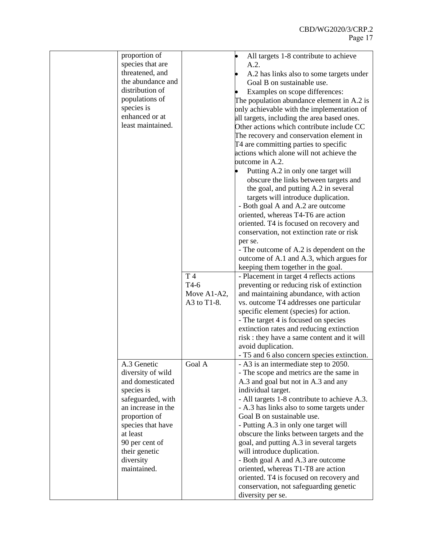| proportion of      |             | All targets 1-8 contribute to achieve        |
|--------------------|-------------|----------------------------------------------|
| species that are   |             | A.2.                                         |
| threatened, and    |             | A.2 has links also to some targets under     |
| the abundance and  |             | Goal B on sustainable use.                   |
| distribution of    |             | Examples on scope differences:               |
| populations of     |             | The population abundance element in A.2 is   |
| species is         |             | only achievable with the implementation of   |
| enhanced or at     |             | all targets, including the area based ones.  |
| least maintained.  |             | Other actions which contribute include CC    |
|                    |             | The recovery and conservation element in     |
|                    |             | T4 are committing parties to specific        |
|                    |             | actions which alone will not achieve the     |
|                    |             | outcome in A.2.                              |
|                    |             |                                              |
|                    |             | Putting A.2 in only one target will          |
|                    |             | obscure the links between targets and        |
|                    |             | the goal, and putting A.2 in several         |
|                    |             | targets will introduce duplication.          |
|                    |             | - Both goal A and A.2 are outcome            |
|                    |             | oriented, whereas T4-T6 are action           |
|                    |             | oriented. T4 is focused on recovery and      |
|                    |             | conservation, not extinction rate or risk    |
|                    |             | per se.                                      |
|                    |             | - The outcome of A.2 is dependent on the     |
|                    |             | outcome of A.1 and A.3, which argues for     |
|                    |             | keeping them together in the goal.           |
|                    | T 4         | - Placement in target 4 reflects actions     |
|                    | $T4-6$      | preventing or reducing risk of extinction    |
|                    | Move A1-A2, | and maintaining abundance, with action       |
|                    | A3 to T1-8. | vs. outcome T4 addresses one particular      |
|                    |             | specific element (species) for action.       |
|                    |             | - The target 4 is focused on species         |
|                    |             | extinction rates and reducing extinction     |
|                    |             | risk : they have a same content and it will  |
|                    |             | avoid duplication.                           |
|                    |             | - T5 and 6 also concern species extinction.  |
| A.3 Genetic        | Goal A      | - A3 is an intermediate step to 2050.        |
| diversity of wild  |             | - The scope and metrics are the same in      |
| and domesticated   |             | A.3 and goal but not in A.3 and any          |
| species is         |             | individual target.                           |
| safeguarded, with  |             | - All targets 1-8 contribute to achieve A.3. |
| an increase in the |             | - A.3 has links also to some targets under   |
| proportion of      |             | Goal B on sustainable use.                   |
| species that have  |             | - Putting A.3 in only one target will        |
| at least           |             | obscure the links between targets and the    |
| 90 per cent of     |             | goal, and putting A.3 in several targets     |
| their genetic      |             |                                              |
|                    |             | will introduce duplication.                  |
| diversity          |             | - Both goal A and A.3 are outcome            |
| maintained.        |             | oriented, whereas T1-T8 are action           |
|                    |             | oriented. T4 is focused on recovery and      |
|                    |             | conservation, not safeguarding genetic       |
|                    |             | diversity per se.                            |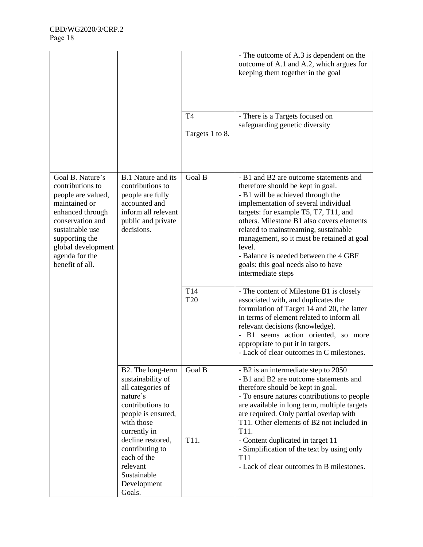|                                                                                                                                                                                                                     |                                                                                                                                                 | T <sub>4</sub>         | - The outcome of A.3 is dependent on the<br>outcome of A.1 and A.2, which argues for<br>keeping them together in the goal<br>- There is a Targets focused on                                                                                                                                                                                                                                                                                          |
|---------------------------------------------------------------------------------------------------------------------------------------------------------------------------------------------------------------------|-------------------------------------------------------------------------------------------------------------------------------------------------|------------------------|-------------------------------------------------------------------------------------------------------------------------------------------------------------------------------------------------------------------------------------------------------------------------------------------------------------------------------------------------------------------------------------------------------------------------------------------------------|
|                                                                                                                                                                                                                     |                                                                                                                                                 | Targets 1 to 8.        | safeguarding genetic diversity                                                                                                                                                                                                                                                                                                                                                                                                                        |
| Goal B. Nature's<br>contributions to<br>people are valued,<br>maintained or<br>enhanced through<br>conservation and<br>sustainable use<br>supporting the<br>global development<br>agenda for the<br>benefit of all. | <b>B.1 Nature and its</b><br>contributions to<br>people are fully<br>accounted and<br>inform all relevant<br>public and private<br>decisions.   | Goal B                 | - B1 and B2 are outcome statements and<br>therefore should be kept in goal.<br>- B1 will be achieved through the<br>implementation of several individual<br>targets: for example T5, T7, T11, and<br>others. Milestone B1 also covers elements<br>related to mainstreaming, sustainable<br>management, so it must be retained at goal<br>level.<br>- Balance is needed between the 4 GBF<br>goals: this goal needs also to have<br>intermediate steps |
|                                                                                                                                                                                                                     |                                                                                                                                                 | T14<br>T <sub>20</sub> | - The content of Milestone B1 is closely<br>associated with, and duplicates the<br>formulation of Target 14 and 20, the latter<br>in terms of element related to inform all<br>relevant decisions (knowledge).<br>- B1 seems action oriented, so more<br>appropriate to put it in targets.<br>- Lack of clear outcomes in C milestones.                                                                                                               |
|                                                                                                                                                                                                                     | B2. The long-term<br>sustainability of<br>all categories of<br>nature's<br>contributions to<br>people is ensured,<br>with those<br>currently in | Goal B                 | - B2 is an intermediate step to 2050<br>- B1 and B2 are outcome statements and<br>therefore should be kept in goal.<br>- To ensure natures contributions to people<br>are available in long term, multiple targets<br>are required. Only partial overlap with<br>T11. Other elements of B2 not included in<br>T11.                                                                                                                                    |
|                                                                                                                                                                                                                     | decline restored,<br>contributing to<br>each of the<br>relevant<br>Sustainable<br>Development<br>Goals.                                         | T11.                   | - Content duplicated in target 11<br>- Simplification of the text by using only<br>T <sub>11</sub><br>- Lack of clear outcomes in B milestones.                                                                                                                                                                                                                                                                                                       |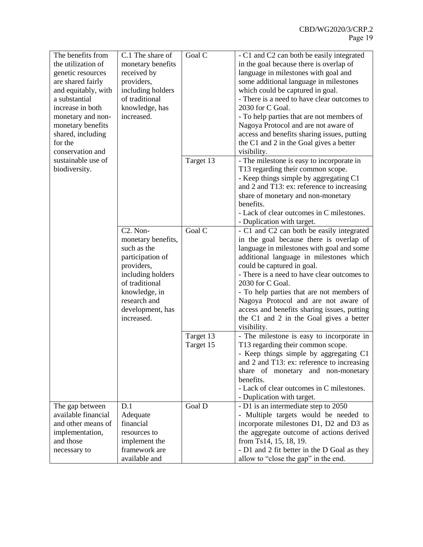| the utilization of<br>monetary benefits<br>in the goal because there is overlap of<br>language in milestones with goal and<br>received by<br>genetic resources<br>some additional language in milestones<br>are shared fairly<br>providers,<br>including holders<br>which could be captured in goal.<br>and equitably, with<br>of traditional<br>a substantial<br>- There is a need to have clear outcomes to<br>2030 for C Goal.<br>increase in both<br>knowledge, has<br>increased.<br>- To help parties that are not members of<br>monetary and non-<br>Nagoya Protocol and are not aware of<br>monetary benefits<br>access and benefits sharing issues, putting<br>shared, including<br>for the<br>the C1 and 2 in the Goal gives a better<br>conservation and<br>visibility.<br>sustainable use of<br>Target 13<br>- The milestone is easy to incorporate in<br>biodiversity.<br>T13 regarding their common scope.<br>- Keep things simple by aggregating C1<br>and 2 and T13: ex: reference to increasing<br>share of monetary and non-monetary<br>benefits.<br>- Lack of clear outcomes in C milestones.<br>- Duplication with target.<br>Goal C<br>C <sub>2</sub> . Non-<br>- C1 and C2 can both be easily integrated<br>in the goal because there is overlap of<br>monetary benefits,<br>such as the<br>language in milestones with goal and some<br>participation of<br>additional language in milestones which<br>providers,<br>could be captured in goal.<br>- There is a need to have clear outcomes to<br>including holders<br>of traditional<br>2030 for C Goal.<br>knowledge, in<br>- To help parties that are not members of<br>research and<br>Nagoya Protocol and are not aware of<br>development, has<br>access and benefits sharing issues, putting<br>increased.<br>the C1 and 2 in the Goal gives a better<br>visibility.<br>- The milestone is easy to incorporate in<br>Target 13<br>T13 regarding their common scope.<br>Target 15<br>- Keep things simple by aggregating C1<br>and 2 and T13: ex: reference to increasing<br>share of monetary and non-monetary<br>benefits.<br>- Lack of clear outcomes in C milestones.<br>- Duplication with target.<br>Goal D<br>- D1 is an intermediate step to 2050<br>D.1<br>The gap between<br>available financial<br>Adequate<br>- Multiple targets would be needed to<br>and other means of<br>financial<br>incorporate milestones D1, D2 and D3 as<br>the aggregate outcome of actions derived<br>implementation,<br>resources to<br>from Ts14, 15, 18, 19.<br>and those<br>implement the<br>framework are<br>- D1 and 2 fit better in the D Goal as they<br>necessary to<br>available and<br>allow to "close the gap" in the end. |                   |                  |        |                                           |
|----------------------------------------------------------------------------------------------------------------------------------------------------------------------------------------------------------------------------------------------------------------------------------------------------------------------------------------------------------------------------------------------------------------------------------------------------------------------------------------------------------------------------------------------------------------------------------------------------------------------------------------------------------------------------------------------------------------------------------------------------------------------------------------------------------------------------------------------------------------------------------------------------------------------------------------------------------------------------------------------------------------------------------------------------------------------------------------------------------------------------------------------------------------------------------------------------------------------------------------------------------------------------------------------------------------------------------------------------------------------------------------------------------------------------------------------------------------------------------------------------------------------------------------------------------------------------------------------------------------------------------------------------------------------------------------------------------------------------------------------------------------------------------------------------------------------------------------------------------------------------------------------------------------------------------------------------------------------------------------------------------------------------------------------------------------------------------------------------------------------------------------------------------------------------------------------------------------------------------------------------------------------------------------------------------------------------------------------------------------------------------------------------------------------------------------------------------------------------------------------------------------------------------------------------------------------------------------------------------------------------------------------------------------------------------------------------------|-------------------|------------------|--------|-------------------------------------------|
|                                                                                                                                                                                                                                                                                                                                                                                                                                                                                                                                                                                                                                                                                                                                                                                                                                                                                                                                                                                                                                                                                                                                                                                                                                                                                                                                                                                                                                                                                                                                                                                                                                                                                                                                                                                                                                                                                                                                                                                                                                                                                                                                                                                                                                                                                                                                                                                                                                                                                                                                                                                                                                                                                                          | The benefits from | C.1 The share of | Goal C | - C1 and C2 can both be easily integrated |
|                                                                                                                                                                                                                                                                                                                                                                                                                                                                                                                                                                                                                                                                                                                                                                                                                                                                                                                                                                                                                                                                                                                                                                                                                                                                                                                                                                                                                                                                                                                                                                                                                                                                                                                                                                                                                                                                                                                                                                                                                                                                                                                                                                                                                                                                                                                                                                                                                                                                                                                                                                                                                                                                                                          |                   |                  |        |                                           |
|                                                                                                                                                                                                                                                                                                                                                                                                                                                                                                                                                                                                                                                                                                                                                                                                                                                                                                                                                                                                                                                                                                                                                                                                                                                                                                                                                                                                                                                                                                                                                                                                                                                                                                                                                                                                                                                                                                                                                                                                                                                                                                                                                                                                                                                                                                                                                                                                                                                                                                                                                                                                                                                                                                          |                   |                  |        |                                           |
|                                                                                                                                                                                                                                                                                                                                                                                                                                                                                                                                                                                                                                                                                                                                                                                                                                                                                                                                                                                                                                                                                                                                                                                                                                                                                                                                                                                                                                                                                                                                                                                                                                                                                                                                                                                                                                                                                                                                                                                                                                                                                                                                                                                                                                                                                                                                                                                                                                                                                                                                                                                                                                                                                                          |                   |                  |        |                                           |
|                                                                                                                                                                                                                                                                                                                                                                                                                                                                                                                                                                                                                                                                                                                                                                                                                                                                                                                                                                                                                                                                                                                                                                                                                                                                                                                                                                                                                                                                                                                                                                                                                                                                                                                                                                                                                                                                                                                                                                                                                                                                                                                                                                                                                                                                                                                                                                                                                                                                                                                                                                                                                                                                                                          |                   |                  |        |                                           |
|                                                                                                                                                                                                                                                                                                                                                                                                                                                                                                                                                                                                                                                                                                                                                                                                                                                                                                                                                                                                                                                                                                                                                                                                                                                                                                                                                                                                                                                                                                                                                                                                                                                                                                                                                                                                                                                                                                                                                                                                                                                                                                                                                                                                                                                                                                                                                                                                                                                                                                                                                                                                                                                                                                          |                   |                  |        |                                           |
|                                                                                                                                                                                                                                                                                                                                                                                                                                                                                                                                                                                                                                                                                                                                                                                                                                                                                                                                                                                                                                                                                                                                                                                                                                                                                                                                                                                                                                                                                                                                                                                                                                                                                                                                                                                                                                                                                                                                                                                                                                                                                                                                                                                                                                                                                                                                                                                                                                                                                                                                                                                                                                                                                                          |                   |                  |        |                                           |
|                                                                                                                                                                                                                                                                                                                                                                                                                                                                                                                                                                                                                                                                                                                                                                                                                                                                                                                                                                                                                                                                                                                                                                                                                                                                                                                                                                                                                                                                                                                                                                                                                                                                                                                                                                                                                                                                                                                                                                                                                                                                                                                                                                                                                                                                                                                                                                                                                                                                                                                                                                                                                                                                                                          |                   |                  |        |                                           |
|                                                                                                                                                                                                                                                                                                                                                                                                                                                                                                                                                                                                                                                                                                                                                                                                                                                                                                                                                                                                                                                                                                                                                                                                                                                                                                                                                                                                                                                                                                                                                                                                                                                                                                                                                                                                                                                                                                                                                                                                                                                                                                                                                                                                                                                                                                                                                                                                                                                                                                                                                                                                                                                                                                          |                   |                  |        |                                           |
|                                                                                                                                                                                                                                                                                                                                                                                                                                                                                                                                                                                                                                                                                                                                                                                                                                                                                                                                                                                                                                                                                                                                                                                                                                                                                                                                                                                                                                                                                                                                                                                                                                                                                                                                                                                                                                                                                                                                                                                                                                                                                                                                                                                                                                                                                                                                                                                                                                                                                                                                                                                                                                                                                                          |                   |                  |        |                                           |
|                                                                                                                                                                                                                                                                                                                                                                                                                                                                                                                                                                                                                                                                                                                                                                                                                                                                                                                                                                                                                                                                                                                                                                                                                                                                                                                                                                                                                                                                                                                                                                                                                                                                                                                                                                                                                                                                                                                                                                                                                                                                                                                                                                                                                                                                                                                                                                                                                                                                                                                                                                                                                                                                                                          |                   |                  |        |                                           |
|                                                                                                                                                                                                                                                                                                                                                                                                                                                                                                                                                                                                                                                                                                                                                                                                                                                                                                                                                                                                                                                                                                                                                                                                                                                                                                                                                                                                                                                                                                                                                                                                                                                                                                                                                                                                                                                                                                                                                                                                                                                                                                                                                                                                                                                                                                                                                                                                                                                                                                                                                                                                                                                                                                          |                   |                  |        |                                           |
|                                                                                                                                                                                                                                                                                                                                                                                                                                                                                                                                                                                                                                                                                                                                                                                                                                                                                                                                                                                                                                                                                                                                                                                                                                                                                                                                                                                                                                                                                                                                                                                                                                                                                                                                                                                                                                                                                                                                                                                                                                                                                                                                                                                                                                                                                                                                                                                                                                                                                                                                                                                                                                                                                                          |                   |                  |        |                                           |
|                                                                                                                                                                                                                                                                                                                                                                                                                                                                                                                                                                                                                                                                                                                                                                                                                                                                                                                                                                                                                                                                                                                                                                                                                                                                                                                                                                                                                                                                                                                                                                                                                                                                                                                                                                                                                                                                                                                                                                                                                                                                                                                                                                                                                                                                                                                                                                                                                                                                                                                                                                                                                                                                                                          |                   |                  |        |                                           |
|                                                                                                                                                                                                                                                                                                                                                                                                                                                                                                                                                                                                                                                                                                                                                                                                                                                                                                                                                                                                                                                                                                                                                                                                                                                                                                                                                                                                                                                                                                                                                                                                                                                                                                                                                                                                                                                                                                                                                                                                                                                                                                                                                                                                                                                                                                                                                                                                                                                                                                                                                                                                                                                                                                          |                   |                  |        |                                           |
|                                                                                                                                                                                                                                                                                                                                                                                                                                                                                                                                                                                                                                                                                                                                                                                                                                                                                                                                                                                                                                                                                                                                                                                                                                                                                                                                                                                                                                                                                                                                                                                                                                                                                                                                                                                                                                                                                                                                                                                                                                                                                                                                                                                                                                                                                                                                                                                                                                                                                                                                                                                                                                                                                                          |                   |                  |        |                                           |
|                                                                                                                                                                                                                                                                                                                                                                                                                                                                                                                                                                                                                                                                                                                                                                                                                                                                                                                                                                                                                                                                                                                                                                                                                                                                                                                                                                                                                                                                                                                                                                                                                                                                                                                                                                                                                                                                                                                                                                                                                                                                                                                                                                                                                                                                                                                                                                                                                                                                                                                                                                                                                                                                                                          |                   |                  |        |                                           |
|                                                                                                                                                                                                                                                                                                                                                                                                                                                                                                                                                                                                                                                                                                                                                                                                                                                                                                                                                                                                                                                                                                                                                                                                                                                                                                                                                                                                                                                                                                                                                                                                                                                                                                                                                                                                                                                                                                                                                                                                                                                                                                                                                                                                                                                                                                                                                                                                                                                                                                                                                                                                                                                                                                          |                   |                  |        |                                           |
|                                                                                                                                                                                                                                                                                                                                                                                                                                                                                                                                                                                                                                                                                                                                                                                                                                                                                                                                                                                                                                                                                                                                                                                                                                                                                                                                                                                                                                                                                                                                                                                                                                                                                                                                                                                                                                                                                                                                                                                                                                                                                                                                                                                                                                                                                                                                                                                                                                                                                                                                                                                                                                                                                                          |                   |                  |        |                                           |
|                                                                                                                                                                                                                                                                                                                                                                                                                                                                                                                                                                                                                                                                                                                                                                                                                                                                                                                                                                                                                                                                                                                                                                                                                                                                                                                                                                                                                                                                                                                                                                                                                                                                                                                                                                                                                                                                                                                                                                                                                                                                                                                                                                                                                                                                                                                                                                                                                                                                                                                                                                                                                                                                                                          |                   |                  |        |                                           |
|                                                                                                                                                                                                                                                                                                                                                                                                                                                                                                                                                                                                                                                                                                                                                                                                                                                                                                                                                                                                                                                                                                                                                                                                                                                                                                                                                                                                                                                                                                                                                                                                                                                                                                                                                                                                                                                                                                                                                                                                                                                                                                                                                                                                                                                                                                                                                                                                                                                                                                                                                                                                                                                                                                          |                   |                  |        |                                           |
|                                                                                                                                                                                                                                                                                                                                                                                                                                                                                                                                                                                                                                                                                                                                                                                                                                                                                                                                                                                                                                                                                                                                                                                                                                                                                                                                                                                                                                                                                                                                                                                                                                                                                                                                                                                                                                                                                                                                                                                                                                                                                                                                                                                                                                                                                                                                                                                                                                                                                                                                                                                                                                                                                                          |                   |                  |        |                                           |
|                                                                                                                                                                                                                                                                                                                                                                                                                                                                                                                                                                                                                                                                                                                                                                                                                                                                                                                                                                                                                                                                                                                                                                                                                                                                                                                                                                                                                                                                                                                                                                                                                                                                                                                                                                                                                                                                                                                                                                                                                                                                                                                                                                                                                                                                                                                                                                                                                                                                                                                                                                                                                                                                                                          |                   |                  |        |                                           |
|                                                                                                                                                                                                                                                                                                                                                                                                                                                                                                                                                                                                                                                                                                                                                                                                                                                                                                                                                                                                                                                                                                                                                                                                                                                                                                                                                                                                                                                                                                                                                                                                                                                                                                                                                                                                                                                                                                                                                                                                                                                                                                                                                                                                                                                                                                                                                                                                                                                                                                                                                                                                                                                                                                          |                   |                  |        |                                           |
|                                                                                                                                                                                                                                                                                                                                                                                                                                                                                                                                                                                                                                                                                                                                                                                                                                                                                                                                                                                                                                                                                                                                                                                                                                                                                                                                                                                                                                                                                                                                                                                                                                                                                                                                                                                                                                                                                                                                                                                                                                                                                                                                                                                                                                                                                                                                                                                                                                                                                                                                                                                                                                                                                                          |                   |                  |        |                                           |
|                                                                                                                                                                                                                                                                                                                                                                                                                                                                                                                                                                                                                                                                                                                                                                                                                                                                                                                                                                                                                                                                                                                                                                                                                                                                                                                                                                                                                                                                                                                                                                                                                                                                                                                                                                                                                                                                                                                                                                                                                                                                                                                                                                                                                                                                                                                                                                                                                                                                                                                                                                                                                                                                                                          |                   |                  |        |                                           |
|                                                                                                                                                                                                                                                                                                                                                                                                                                                                                                                                                                                                                                                                                                                                                                                                                                                                                                                                                                                                                                                                                                                                                                                                                                                                                                                                                                                                                                                                                                                                                                                                                                                                                                                                                                                                                                                                                                                                                                                                                                                                                                                                                                                                                                                                                                                                                                                                                                                                                                                                                                                                                                                                                                          |                   |                  |        |                                           |
|                                                                                                                                                                                                                                                                                                                                                                                                                                                                                                                                                                                                                                                                                                                                                                                                                                                                                                                                                                                                                                                                                                                                                                                                                                                                                                                                                                                                                                                                                                                                                                                                                                                                                                                                                                                                                                                                                                                                                                                                                                                                                                                                                                                                                                                                                                                                                                                                                                                                                                                                                                                                                                                                                                          |                   |                  |        |                                           |
|                                                                                                                                                                                                                                                                                                                                                                                                                                                                                                                                                                                                                                                                                                                                                                                                                                                                                                                                                                                                                                                                                                                                                                                                                                                                                                                                                                                                                                                                                                                                                                                                                                                                                                                                                                                                                                                                                                                                                                                                                                                                                                                                                                                                                                                                                                                                                                                                                                                                                                                                                                                                                                                                                                          |                   |                  |        |                                           |
|                                                                                                                                                                                                                                                                                                                                                                                                                                                                                                                                                                                                                                                                                                                                                                                                                                                                                                                                                                                                                                                                                                                                                                                                                                                                                                                                                                                                                                                                                                                                                                                                                                                                                                                                                                                                                                                                                                                                                                                                                                                                                                                                                                                                                                                                                                                                                                                                                                                                                                                                                                                                                                                                                                          |                   |                  |        |                                           |
|                                                                                                                                                                                                                                                                                                                                                                                                                                                                                                                                                                                                                                                                                                                                                                                                                                                                                                                                                                                                                                                                                                                                                                                                                                                                                                                                                                                                                                                                                                                                                                                                                                                                                                                                                                                                                                                                                                                                                                                                                                                                                                                                                                                                                                                                                                                                                                                                                                                                                                                                                                                                                                                                                                          |                   |                  |        |                                           |
|                                                                                                                                                                                                                                                                                                                                                                                                                                                                                                                                                                                                                                                                                                                                                                                                                                                                                                                                                                                                                                                                                                                                                                                                                                                                                                                                                                                                                                                                                                                                                                                                                                                                                                                                                                                                                                                                                                                                                                                                                                                                                                                                                                                                                                                                                                                                                                                                                                                                                                                                                                                                                                                                                                          |                   |                  |        |                                           |
|                                                                                                                                                                                                                                                                                                                                                                                                                                                                                                                                                                                                                                                                                                                                                                                                                                                                                                                                                                                                                                                                                                                                                                                                                                                                                                                                                                                                                                                                                                                                                                                                                                                                                                                                                                                                                                                                                                                                                                                                                                                                                                                                                                                                                                                                                                                                                                                                                                                                                                                                                                                                                                                                                                          |                   |                  |        |                                           |
|                                                                                                                                                                                                                                                                                                                                                                                                                                                                                                                                                                                                                                                                                                                                                                                                                                                                                                                                                                                                                                                                                                                                                                                                                                                                                                                                                                                                                                                                                                                                                                                                                                                                                                                                                                                                                                                                                                                                                                                                                                                                                                                                                                                                                                                                                                                                                                                                                                                                                                                                                                                                                                                                                                          |                   |                  |        |                                           |
|                                                                                                                                                                                                                                                                                                                                                                                                                                                                                                                                                                                                                                                                                                                                                                                                                                                                                                                                                                                                                                                                                                                                                                                                                                                                                                                                                                                                                                                                                                                                                                                                                                                                                                                                                                                                                                                                                                                                                                                                                                                                                                                                                                                                                                                                                                                                                                                                                                                                                                                                                                                                                                                                                                          |                   |                  |        |                                           |
|                                                                                                                                                                                                                                                                                                                                                                                                                                                                                                                                                                                                                                                                                                                                                                                                                                                                                                                                                                                                                                                                                                                                                                                                                                                                                                                                                                                                                                                                                                                                                                                                                                                                                                                                                                                                                                                                                                                                                                                                                                                                                                                                                                                                                                                                                                                                                                                                                                                                                                                                                                                                                                                                                                          |                   |                  |        |                                           |
|                                                                                                                                                                                                                                                                                                                                                                                                                                                                                                                                                                                                                                                                                                                                                                                                                                                                                                                                                                                                                                                                                                                                                                                                                                                                                                                                                                                                                                                                                                                                                                                                                                                                                                                                                                                                                                                                                                                                                                                                                                                                                                                                                                                                                                                                                                                                                                                                                                                                                                                                                                                                                                                                                                          |                   |                  |        |                                           |
|                                                                                                                                                                                                                                                                                                                                                                                                                                                                                                                                                                                                                                                                                                                                                                                                                                                                                                                                                                                                                                                                                                                                                                                                                                                                                                                                                                                                                                                                                                                                                                                                                                                                                                                                                                                                                                                                                                                                                                                                                                                                                                                                                                                                                                                                                                                                                                                                                                                                                                                                                                                                                                                                                                          |                   |                  |        |                                           |
|                                                                                                                                                                                                                                                                                                                                                                                                                                                                                                                                                                                                                                                                                                                                                                                                                                                                                                                                                                                                                                                                                                                                                                                                                                                                                                                                                                                                                                                                                                                                                                                                                                                                                                                                                                                                                                                                                                                                                                                                                                                                                                                                                                                                                                                                                                                                                                                                                                                                                                                                                                                                                                                                                                          |                   |                  |        |                                           |
|                                                                                                                                                                                                                                                                                                                                                                                                                                                                                                                                                                                                                                                                                                                                                                                                                                                                                                                                                                                                                                                                                                                                                                                                                                                                                                                                                                                                                                                                                                                                                                                                                                                                                                                                                                                                                                                                                                                                                                                                                                                                                                                                                                                                                                                                                                                                                                                                                                                                                                                                                                                                                                                                                                          |                   |                  |        |                                           |
|                                                                                                                                                                                                                                                                                                                                                                                                                                                                                                                                                                                                                                                                                                                                                                                                                                                                                                                                                                                                                                                                                                                                                                                                                                                                                                                                                                                                                                                                                                                                                                                                                                                                                                                                                                                                                                                                                                                                                                                                                                                                                                                                                                                                                                                                                                                                                                                                                                                                                                                                                                                                                                                                                                          |                   |                  |        |                                           |
|                                                                                                                                                                                                                                                                                                                                                                                                                                                                                                                                                                                                                                                                                                                                                                                                                                                                                                                                                                                                                                                                                                                                                                                                                                                                                                                                                                                                                                                                                                                                                                                                                                                                                                                                                                                                                                                                                                                                                                                                                                                                                                                                                                                                                                                                                                                                                                                                                                                                                                                                                                                                                                                                                                          |                   |                  |        |                                           |
|                                                                                                                                                                                                                                                                                                                                                                                                                                                                                                                                                                                                                                                                                                                                                                                                                                                                                                                                                                                                                                                                                                                                                                                                                                                                                                                                                                                                                                                                                                                                                                                                                                                                                                                                                                                                                                                                                                                                                                                                                                                                                                                                                                                                                                                                                                                                                                                                                                                                                                                                                                                                                                                                                                          |                   |                  |        |                                           |
|                                                                                                                                                                                                                                                                                                                                                                                                                                                                                                                                                                                                                                                                                                                                                                                                                                                                                                                                                                                                                                                                                                                                                                                                                                                                                                                                                                                                                                                                                                                                                                                                                                                                                                                                                                                                                                                                                                                                                                                                                                                                                                                                                                                                                                                                                                                                                                                                                                                                                                                                                                                                                                                                                                          |                   |                  |        |                                           |
|                                                                                                                                                                                                                                                                                                                                                                                                                                                                                                                                                                                                                                                                                                                                                                                                                                                                                                                                                                                                                                                                                                                                                                                                                                                                                                                                                                                                                                                                                                                                                                                                                                                                                                                                                                                                                                                                                                                                                                                                                                                                                                                                                                                                                                                                                                                                                                                                                                                                                                                                                                                                                                                                                                          |                   |                  |        |                                           |
|                                                                                                                                                                                                                                                                                                                                                                                                                                                                                                                                                                                                                                                                                                                                                                                                                                                                                                                                                                                                                                                                                                                                                                                                                                                                                                                                                                                                                                                                                                                                                                                                                                                                                                                                                                                                                                                                                                                                                                                                                                                                                                                                                                                                                                                                                                                                                                                                                                                                                                                                                                                                                                                                                                          |                   |                  |        |                                           |
|                                                                                                                                                                                                                                                                                                                                                                                                                                                                                                                                                                                                                                                                                                                                                                                                                                                                                                                                                                                                                                                                                                                                                                                                                                                                                                                                                                                                                                                                                                                                                                                                                                                                                                                                                                                                                                                                                                                                                                                                                                                                                                                                                                                                                                                                                                                                                                                                                                                                                                                                                                                                                                                                                                          |                   |                  |        |                                           |
|                                                                                                                                                                                                                                                                                                                                                                                                                                                                                                                                                                                                                                                                                                                                                                                                                                                                                                                                                                                                                                                                                                                                                                                                                                                                                                                                                                                                                                                                                                                                                                                                                                                                                                                                                                                                                                                                                                                                                                                                                                                                                                                                                                                                                                                                                                                                                                                                                                                                                                                                                                                                                                                                                                          |                   |                  |        |                                           |
|                                                                                                                                                                                                                                                                                                                                                                                                                                                                                                                                                                                                                                                                                                                                                                                                                                                                                                                                                                                                                                                                                                                                                                                                                                                                                                                                                                                                                                                                                                                                                                                                                                                                                                                                                                                                                                                                                                                                                                                                                                                                                                                                                                                                                                                                                                                                                                                                                                                                                                                                                                                                                                                                                                          |                   |                  |        |                                           |
|                                                                                                                                                                                                                                                                                                                                                                                                                                                                                                                                                                                                                                                                                                                                                                                                                                                                                                                                                                                                                                                                                                                                                                                                                                                                                                                                                                                                                                                                                                                                                                                                                                                                                                                                                                                                                                                                                                                                                                                                                                                                                                                                                                                                                                                                                                                                                                                                                                                                                                                                                                                                                                                                                                          |                   |                  |        |                                           |